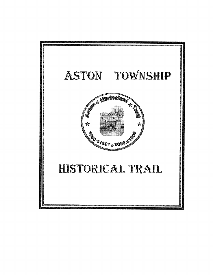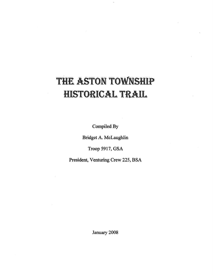# THE ASTON TOWNSHIP C**A**L **TRA**I**L**

**Compiled By**

**Bridget A. McLaughlin**

Troop 5917, GSA

**President, Venturing** Crew 225, BSA

**January 2008**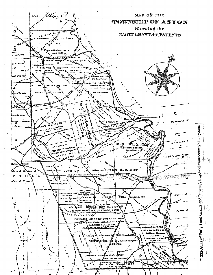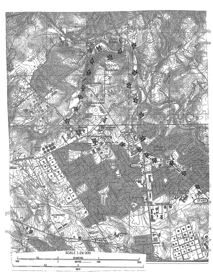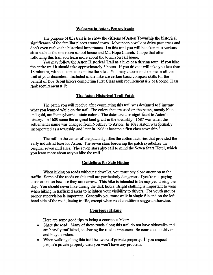### **Welcome to Aston**, **Pennsylvania**

The purpose of this trail is to show the citizens of Aston Township the historical significance of the familiar places around town. Most people walk or drive past areas and don't even realize the historical importance. On this trail you will be taken past various sites such as the one room school house and Mt. Hope Church. I hope that after following this trail you learn more about the town you call home.

You may follow the Aston Historical Trail as a hike or a driving tour. If you hike the entire trail it should take approximately 3 hours. If you drive it will take you less than 18 minutes, without stops to examine the sites. You may choose to do some or all the trail at your discretion. Included in the hike are certain basic compass skills for the benefit of Boy Scout hikers completing First Class rank requirement # 2 or Second Class rank requirement # lb.

### The Aston Historical Trail Paten

The patch you will receive after completing this trail was designed to illustrate what you learned while on the trail. The colors that are used on the patch, mostly blue and gold, are Pennsylvania's state colors. The dates are also significant to Aston's history. In 1680 came the original land grant in the township. 1687 was when the settlement's name was changed from Northley to Aston. In 1688 Aston was formally incorporated as a township and later in 1906 it became a first class township.<sup>1</sup>

The mill in the center of the patch signifies the cotton factories that provided the early industrial base for Aston. The seven stars bordering the patch symbolize the original seven mill sites. The seven stars also call to mind the Seven Stars Hotel, which you learn more about as you hike the trail.  $<sup>2</sup>$ </sup>

#### **Guidelines for Safe Hiking**

When hiking on roads without sidewalks, you must pay close attention to the traffic. Some of the roads on this trail are particularly dangerous if you're not paying close attention because they are narrow. This hike is intended to be enjoyed during the day. You should never hike during the dark hours. Bright clothing is important to wear when hiking in trafficked areas to heighten your visibility to drivers. For youth groups proper supervision is important. Generally you must walk in single file and on the left hand side of the road, facing traffic, except when road conditions suggest otherwise.

### **Courteous Hiking**

Here are some good tips to being a courteous hiker:

- ® Share the road! Many of these roads along this trail do not have sidewalks and are heavily trafficked, so sharing the road is important. Be courteous to drivers and bicycle riders.
- When walking along this trail be aware of private property. If you respect people's private property then you won't have any problem.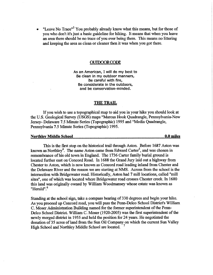"Leave No Trace"<sup>3</sup> You probably already know what this means, but for those of you who don't it's just a basic guideline for hiking. It means that when you leave an area there should be no trace of you ever being there. This means no littering and keeping the area as clean or cleaner then it was when you got there.

#### OUTDOOR CODE

As an American, I will do my best to Be clean in my outdoor manners, Be careful with fire, Be considerate in the outdoors, and be conservation-minded.

#### THE TRAIL

If you wish to use a topographical, map to aid you in your hike you should look at the U.S. Geological Survey (USGS) maps "Marcus Hook Quadrangle, Pennsylvania-New Jersey- Delaware 7.5 Minute Series (Topographic) 1995 and "Media Quadrangle, Pennsylvania 7.5 Minute Series (Topographic) 1995.

### Northley **Middle School 0.0 miles**

This is the first stop on the historical trail through Aston. Before 1687 Aston was known as Northley<sup>4</sup>. The name Aston came from Edward Carter<sup>5</sup>, and was chosen in remembrance of his old town in England. The 1736 Carter family burial ground is located further east on Concord Road. In 1688 the Grand Jury laid out a highway from Chester to Aston, which is now known as Concord road leading inland from Chester and the Delaware River and the reason we are starting at NMS. Across from the school is the intersection with Bridgewater road. Historically, Aston had 7 mill locations, called "mill sites", one of which was located where Bridgewater road crosses Chester creek. In 1680 this land was originally owned by William Woodmansey whose estate was known as "Herald".<sup>6</sup>

Standing at the school sign, take a compass bearing of 330 degrees and begin your hike. As you proceed up Concord road, you will pass the Penn-Delco School District's William C. Moser Administration Building named for the former superintendent of the Penn-Delco School District. William C. Moser (1920-2005) was the first superintendent of the newly merged district in 1955 and held the position for 24 years. He negotiated the donation of 35 acres of land from the Sun Oil Company on which the current Sun Valley High School and Northley Middle School are located.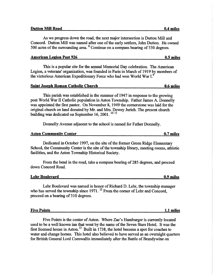### **Dutton Mill Road 0.4 miles**

As we progress down the road, the next major intersection is Dutton Mill and Concord. Dutton Mill was named after one of the early settlers, John Dutton. He owned 500 acres of the surrounding area. <sup>8</sup> Continue on a compass bearing of 330 degrees.

### American Lesion Post 926 0**.5 miles**

This is a popular site for the annual Memorial Day celebration. The American Legion, a veterans' organization, was founded in Paris in March of '1919 by members of the victorious American Expeditionary Force who had won World War I.<sup>9</sup>

#### Saint Joseph **Roman** Catholic Church 0**.6 miles**

This parish was established in the summer of 1947 in response to the growing post World War II Catholic population in Aston Township. Father James A. Donnelly was appointed the first pastor. On November 8, 1949 the cornerstone was laid for the original church on land donated by Mr. and Mrs. Dewey Jurich. The present church building was dedicated on September 16, 2001.<sup>1011</sup>

Donnelly Avenue adjacent to the school is named for Father Donnelly.

| <b>Aston Community Center</b> |  | 0.7 miles |
|-------------------------------|--|-----------|
|                               |  |           |
|                               |  |           |

Dedicated in October 1997, on the site of the former Green Ridge Elementary School, the Community Center is the site of the township library, meeting rooms, athletic facilities, and the Aston Township Historical Society.

From the bend in the road, take a compass bearing of 285 degrees, and proceed down Concord Road.

| <b>Lehr Boulevard</b> |          | .9 miles |
|-----------------------|----------|----------|
|                       | -------- |          |

Lehr **Boulevard was named in honor of Richard D** . Lehr, **the township manager who has served** the township **since** 1971. **12 From the corner** of Lehr and Concord, **proceed on a bearing of 310 degrees.**

Five Points is the center of Aston. Where Zac's Hamburger is currently located used to be a well known inn that went by the name of the Seven Stars Hotel. It was the first licensed house in Aston.<sup>13</sup> Built in 1738, the hotel become a spot for coaches to water and change horses. This hotel also believed to have served as an overnight quarters

for British General Lord Cornwallis immediately after the Battle of Brandywine on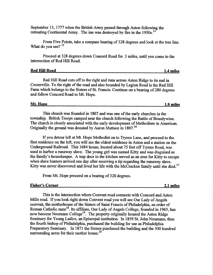September 13, 1777 when the British Army passed through Aston following the retreating Continental Army. The inn was destroyed by fire in the 1950s.<sup>14</sup>

From Five Points, take a compass bearing of 328 degrees and look at the tree line. What do you see?  $15$ 

Proceed at 328 degrees down Concord Road for .3 miles, until you come to the intersection of Red Hill Road.

### **Red Hill Road** 1.4 miles

Red Hill Road cuts off to the right and runs across Aston Ridge to its end in Crozerville. To the right of the road and also bounded by Legion Road is the Red Hill Farm which belongs to the Sisters of St. Francis. Continue on a bearing of 280 degrees and follow Concord Road to Mt. Hope.

# Mt. Hope **1.8 Wailes**

This church was founded in 1807 and was one of the early churches in the township. British Troops camped near the church following the Battle of Brandywine. The church is closely associated with the early development of Methodism in American. Originally the ground was donated by Aaron Mattson in 1807.<sup>16</sup>

If you detour left at Mt. Hope Methodist on to Tryens Lane, and proceed to the first residence on the left, you will see the oldest residence in Aston and a station on the Underground Railroad. This 1684 house, located about 75 feet off Tryens Road, was used to harbor a runaway slave. The young girl was named Kitty and was disguised as the family's housekeeper. A trap door in the kitchen served as an area for Kitty to escape when slave hunters arrived one day after receiving a tip regarding the runaway slave. Kitty was never discovered and lived her life with the McCracken family until she died.<sup>17</sup>

From Mt. Hope proceed on a bearing of 320 degrees.

### Fisher's Corner 2**.1 miles**

This is the intersection where Convent road connects with Concord and Aston Mills road. If you look right down Convent road you will see Our Lady of Angels convent, the motherhouse of the Sisters of Saint Francis of Philadelphia, an order of Roman Catholic nuns<sup>18</sup>. Its affiliate, Our Lady of Angels College, founded in 1965, has now become Neumann College<sup>19</sup>. The property originally housed the Aston Ridge Seminary for Young Ladies, an Episcopal institution. In 1859 St. John Neumann, then the fourth bishop of Philadelphia, purchased the building for use as Philadelphia Preparatory Seminary. In 1871 the Sisters purchased the building and the 300 hundred surrounding acres for their mother house.<sup>20</sup>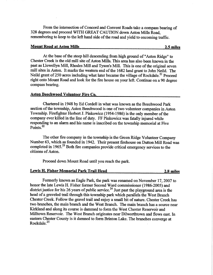From the intersection of Concord and Convent Roads take a compass bearing of 328 degrees and proceed WITH GREAT CAUTION down Aston Mills Road, remembering to keep to the left hand side of the road and yield to oncoming traffic.

### **Mount Road at Aston Mills 2.5 miles**

At the base of the steep hill descending from high ground of "Aston Ridge" to Chester Creek is the old mill site of Aston Mills. This area has also been known in the past as Llewellyn Mill, Rhodes Mill and Tyson's Mill. This is one of the original seven **mill sites in** Aston. It marks the western end of the 1682 land grant to John Neild. The Neild grant of 250 acres including what later became the village of Rockdale.<sup>21</sup> Proceed right onto Mount Road and look for the fire house on your left. Continue on a 90 degree compass bearing.

#### **Aston Beechwood Volunteer Fire Co.**

Chartered in 1948 by Ed Cordell in what was known as the Beechwood Park section of the township, Aston Beechwood is one of two volunteer companies in Aston Township. Firefighter Herbert J. Pinkowicz (1954-1986) is the only member of the company ever killed in the line of duty. FF Pinkowicz was fatally injured while responding to an alarm and his name is inscribed on the township memorial at Five Points.<sup>22</sup>

The other fire company in the township is the Green Ridge Volunteer Company Number 63, which as founded in 1942. Their present firehouse on Dutton Mill Road was completed in 1965.<sup>23</sup> Both fire companies provide critical emergency services to the citizens of Aston.

Proceed down Mount Road until you reach the park.

#### **Lewis H. Fisher Memorial Park Trail Head 2.8 miles**

Formerly known as Eagle Park, the park was renamed on November 17, 2007 to honor the late Lewis H. Fisher former Second Ward commissioner (1986-2005) and district justice for his 26 years of public service.<sup>24</sup> Just past the playground area is the head of a graveled trail through this township park which parallels the West Branch Chester Creek. Follow the gravel trail and enjoy a small bit of nature. Chester Creek has two branches, the main branch and the West Branch. The main branch has a source near Kirkland and along its course is dammed to form the West Chester Reservoir and Milltown Reservoir. The West Branch originates near Dilworthtown and flows east. In eastern Chester County is it damned to form Brinton Lake. The branches converge at Rockdale. 25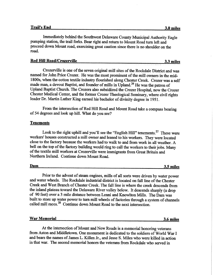Immediately behind the Southwest Delaware County Municipal Authority Eagle pumping station, the trail forks. Bear right and return to Mount Road turn left and proceed down Mount road, exercising great caution since there is no shoulder on the road.

| <b>Red Hill Road/Crozerville</b> | 3.3 miles |
|----------------------------------|-----------|
|                                  |           |

Crozerville is one of the seven original mill sites of the Rockdale District and was named for John Price Crozer. He was the most prominent of the mill owners in the mid-1800s, when the cotton textile industry flourished along Chester Creek. Crozer was a self made man, a devout Baptist, and founder of mills in Upland.<sup>26</sup> He was the patron of Upland Baptist Church. The Crozers also subsidized the Crozer Hospital, now the Crozer Chester Medical Center, and the former Crozer Theological Seminary, where civil rights leader Dr. Martin Luther King earned his bachelor of divinity degree in 1951.

From the intersection of Red Hill Road and Mount Road take a compass bearing of 54 degrees and look up hill. What do you see?

### **Tenements**

Look to the right uphill and you'll see the "English Hill" tenements.<sup>27</sup> These were workers' houses constructed a mill owner and leased to his workers. They were located close to the factory because the workers had to walk to and from work in all weather. A bell on the top of the factory building would ring to call the workers to their jobs. Many of the textile mill workers at Crozerville were immigrants from Great Britain and Northern Ireland. Continue down Mount Road.

**Dam 3.5 miles**

Prior to the advent of steam engines, mills of all sorts were driven by water power and water wheels. The Rockdale industrial district is located on fall line of the Chester Creek and West Branch of Chester Creek. The fall line is where the creek descends from the inland plateau toward the Delaware River valley below. It descends sharply (a drop of 90 feet) over a 3 mile distance between Lenni and Knowlton Mills. The Dam was built to store up water power to turn mill wheels of factories through a system of channels called mill races.<sup>28</sup> Continue down Mount Road to the next intersection.

**War Memorial 3.6 miles**

At the intersection of Mount and New Roads is a memorial honoring veterans from Aston and Middletown. One monument is dedicated to the soldiers of World War I and bears the names of James L. Killen Jr., and Jesse S. Miles who were killed in action in that war. The second memorial honors the veterans from Rockdale who served in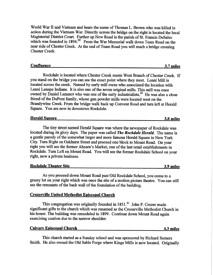World War II and Vietnam and bears the name of Thomas L. Brown who was killed in action during the Vietnam War. Directly across the bridge on the right is located the local Magisterial District Court. Further up New Road is the parish of St. Francis DeSales which was founded in 1894.<sup>29</sup> From the War Memorial walk down Team Road on the near side of Chester Creek. At the end of Team Road you will reach a bridge crossing Chester Creek.

| <b>Confluence</b><br><br>--- |  | miles |
|------------------------------|--|-------|
|------------------------------|--|-------|

Rockdale is located where Chester Creek meets West Branch of Chester Creek. If you stand on the bridge you can see the exact point where they meet. Lenni Mill is located across the creek. Named by early mill owns who associated the location with Lenni Lenape Indians. It is also one of the seven original mills. This mill was once owned by Daniel Lammot who was one of the early industrialists.<sup>30</sup> He was also a close friend of the DuPont family, whose gun powder mills were located west on the Brandywine Creek. From the bridge walk back up Convent Road and turn left at Herald Square. You are now in downtown Rockdale.

| <b>Herald Square</b><br>3.8 miles |
|-----------------------------------|
|-----------------------------------|

The tiny street named Herald Square was where the newspaper of Rockdale was located during its glory days. The paper was called *The Rockdale Herald.* The name is a gentle parody of the somewhat larger and more famous Herald Square in New York City. Turn Right on Oakhurst Street and proceed one block to Mount Road. On your right you will see the former Ahearn's Market, one of the last retail establishments in Rockdale. Turn Left on Mount Road. You will see the former Rockdale School on your right, now a private business.

**Rockdale Theater Site 3.9 miles**

As you proceed down Mount Road past Old Rockdale School, you come to a grassy lot on your right which was once the site of a motion picture theatre. You can still see the remnants of the back wall of the foundation of the building.

# **Crozerville United Methodist Episcopal Church**

This congregation was originally founded in  $1851<sup>31</sup>$  John P. Crozer made significant gifts to the church which was renamed as the Crozerville Methodist Church in his honor. The building was remodeled in 1899. Continue down Mount Road again exercising caution due to the narrow shoulder.

| <b>Calvary Episcopal Church</b><br>i miles<br>7.J |
|---------------------------------------------------|
|---------------------------------------------------|

This church started as a Sunday school and was sponsored by Richard Somers Smith. He also owned the Old Sable Forge where Kings Mills is now located. Originally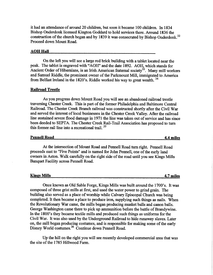it had an attendance of around 20 children, but soon it became 100 children. In 1834 Bishop Onderdonk licensed Kington Goddard to hold services there. Around 1836 the construction of the church began and by 1839 it was consecrated by Bishop Onderdonk.<sup>32</sup> Proceed down Mount Road.

#### AOH Hall

On the left you will **see a** large red brick building with a tablet located near the peak. The tablet is engraved with "AOH" and the date 1892. AOH, which stands for Ancient Order of Hibernians, is an Irish American fraternal society<sup>33</sup>. Many mill workers and Samuel Riddle, the prominent owner of the Parkmount Mill, immigrated to America from Belfast Ireland in the 1820's. Riddle worked his way to great wealth.<sup>34</sup>

#### **Railroad** Trestle

As you progress down Mount Road you will see an abandoned railroad trestle traversing Chester Creek. This is part of the former Philadelphia and Baltimore Central Railroad. The Chester Creek Branch railroad was constructed shortly after the Civil War and served the interest of local businesses in the Chester Creek Valley. After the railroad line sustained severe flood damage in 1971 the line was taken out of service and has since been deeded to SEPTA. The Chester Creek Rail-Trail Association has proposed to turn this former rail line into a recreational trail.  $35$ 

### **Pennell Road 4.4 miles**

At the intersection of Mount Road and Pennell Road turn right. Pennell Road proceeds east to "Five Points" and is named for John Pennell, one of the early land owners in Aston. Walk carefully on the right side of the road until you see Kings Mills Banquet Facility across Pennell Road.

| <b>Kings Mills</b> |  |  |
|--------------------|--|--|
|                    |  |  |

Once known as Old Sable Forge, Kings Mills was built around the 1700's. It was composed of three grist mills at first, and used the water power to grind grain. The building also served as a place of worship while Calvary Episcopal Church was being completed. It then became a place to produce iron, supplying such things as nails. When the Revolutionary War came, the mills. began, producing musket balls, and canon balls. George Washington came there to pick up ammunition before the battle of Brandywine. In the 1800's they became textile mills and produced such things as uniforms for the Civil War: It was also used by the Underground Railroad to hide runaway slaves. Later on, the mill began producing costumes, and is responsible for making some of the early Disney World costumes.<sup>36</sup> Continue down Pennell Road.

Up the hill on the right you will see recently developed commercial area that was the site of the 1785 Hillwood Farm.

**Kings Mills 4.7 miles**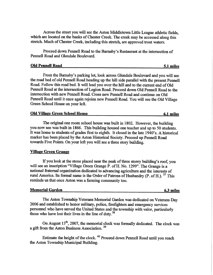Across the street you will see the Aston Middletown Little League athletic fields, which are located on the banks of Chester Creek. The creek may be accessed along this stretch. Much of Chester Creek, including this stretch, are approved trout waters.

Proceed down Pennell Road to the Barnaby's Restaurant at the intersection of Pennell Road and Glendale Boulevard.

| <b>Old Pennell Road</b> | -2.1 | miles |
|-------------------------|------|-------|
|                         |      |       |

From the Bamaby's parking lot, look across Glendale Boulevard and you will see the road bed of old Pennell Road heading up the hill side parallel with the present Pennell Road. Follow this road bed. It will lead you over the hill and to the current end of Old Pennell Road at the intersection of Legion. Road. Proceed down Old. Pennell. Road. to the intersection with new Pennell Road. Cross new Pennell Road and continue on Old Pennell Road until it once again rejoins new Pennell Road. You will see the Old Village Green School House on your left.

| <b>Old Village Green School House</b> | 6.1 miles |  |
|---------------------------------------|-----------|--|
|                                       |           |  |

The original one room school house was built in 1802. However, the building you now see was built in 1866. This building housed one teacher and up to 50 students. It was home to students of grades first to eighth. It closed in the late 1940's. A historical marker has been placed by the Aston Historical Society. Proceed up Pennell Road towards Five Points. On your left you will see a three story building.

#### Village Green Grange

If you look at the stone placed near the peak of three storey building's roof, you will see an inscription "Village Green Grange P. of H. No. 1299". The Grange is a national fraternal organization dedicated to advancing agriculture and the interests of rural America. Its formal name is the Order of Patrons of Husbandry (P. of H.).  $37$  This reminds us that once Aston was a farming community too.

### **Memorial Garden 6.3 miles**

The Aston Township Veterans Memorial Garden was dedicated on Veterans Day 2006 and established to honor military, police, firefighters and emergency services personnel who have served the United States and the township with valor, particularly those who have lost their lives in the line of duty.<sup>38</sup>

On August  $13<sup>th</sup>$ , 2007, the memorial clock was formally dedicated. The clock was a gift from the Aston Business Association.<sup>39</sup>

Estimate the height of the clock. 40 Proceed down Pennell Road until you reach the Aston Township Municipal Building.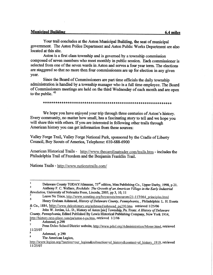# **Vlunicinal Building 6.4 miles**

Your trail concludes at the Aston Municipal Building, the seat of municipal government. The Aston Police Department and Aston Public Works Department are also located at this site.

Aston is a first class township and is governed by a township commission composed of seven members who meet monthly in public session. Each commissioner is selected from one of the seven wards in Aston and serves a four year term. The elections are staggered so that no more then four commissioners are up for election in any given year.

Since the Board of Commissioners are part time officials the daily township administration is handled by a township manager who is a full time employee. The Board of Commissioners meetings are held on the third Wednesday of each month and are open to the public.<sup>41</sup>

#### 

We hope you have enjoyed your trip through three centuries of Aston's history, Every community, no matter how small, has a fascinating story to tell and we hope you will share this with others. If you are interested in following other trails through American history you can get information from these sources:

Valley Forge Trail, Valley Forge National Park, sponsored by the Cradle of Liberty Council, Boy Scouts of America, Telephone: 610-688-6900

American Historical Trails - http://www.thecarolinatrader.com/trails.htm - includes the Philadelphia Trail of Freedom and the Benjamin Franklin Trail.

**Nations Trails** - http://www.nationstrails.com/

Delaware County TODAY/Almanac,  $73<sup>rd</sup>$  edition, Mau Publishing Co., Upper Darby, 1998, p 21.

Anthony F. C. Wallace, *Rockdale: The Growth of an American Village in the Early Industrial Revolution,* **University of Nebraska Press**, **Lincoln**, **2005**, **pp 3, 10, 11**

**<sup>1</sup> Leave No Trace**, http://www.scouting.org/boyscouts/resources/21-117/064\_principles.html

**Henry Graham Ashmead**, *History ofDelaware County, Pennsylvania,* , **Philadelphia**: L. H. Everts

<sup>&</sup>amp; Co., 1884, http://www.delcohistory.org/ashmead/ashmead pg290.htm retrieved 1/25/06<br>s s a Lobe W. Jordan J.J. D. History.of Asten Isial Terumakin, Dr. France 4 History.of D John W. Jordan, LL. D., History of Asten [sic] Township, Pa. From: *A History of Delaware County, Pennsylvania,* Edited Published By Lewis Historical Publishing Company, New York 1914, http://history.rays-place.com/pa/aston-t-pa.htm, retrieved 1/2/06

Ashmead, p.290

<sup>7</sup> 11/25/07 Penn Delco School District website, http://www.pdsd.org/Administration/Moser.html, retrieved

**<sup>8</sup> Ashmead, p 290 <sup>9</sup> The American Legion,**

http://www.legion.org/?section=our legion&subsection=ol history&content=ol history 1919, retrieved 11/25/07